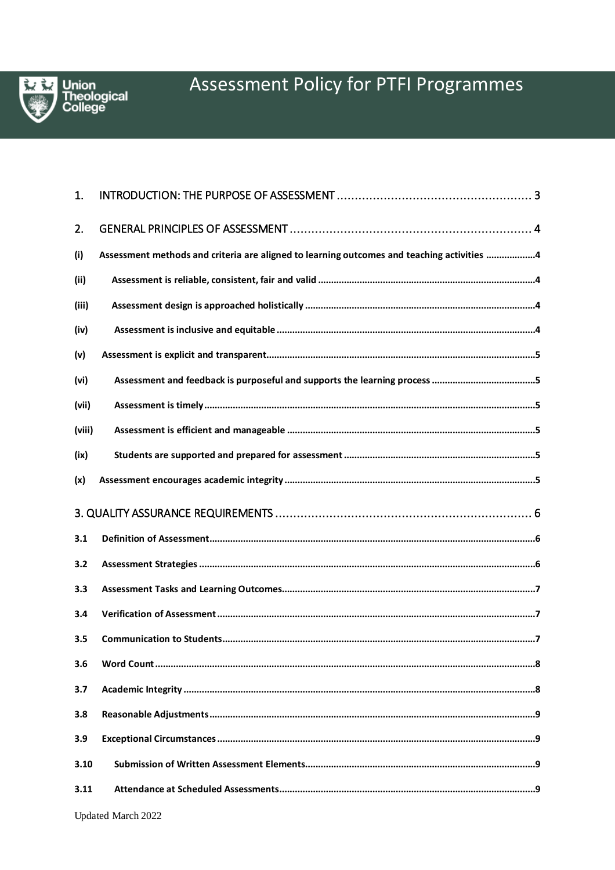

| 1.     |                                                                                            |
|--------|--------------------------------------------------------------------------------------------|
| 2.     |                                                                                            |
| (i)    | Assessment methods and criteria are aligned to learning outcomes and teaching activities 4 |
| (ii)   |                                                                                            |
| (iii)  |                                                                                            |
| (iv)   |                                                                                            |
| (v)    |                                                                                            |
| (vi)   |                                                                                            |
| (vii)  |                                                                                            |
| (viii) |                                                                                            |
| (ix)   |                                                                                            |
| (x)    |                                                                                            |
|        |                                                                                            |
|        |                                                                                            |
| 3.1    |                                                                                            |
| 3.2    |                                                                                            |
| 3.3    |                                                                                            |
| 3.4    |                                                                                            |
| 3.5    |                                                                                            |
| 3.6    |                                                                                            |
| 3.7    |                                                                                            |
| 3.8    |                                                                                            |
| 3.9    |                                                                                            |
| 3.10   |                                                                                            |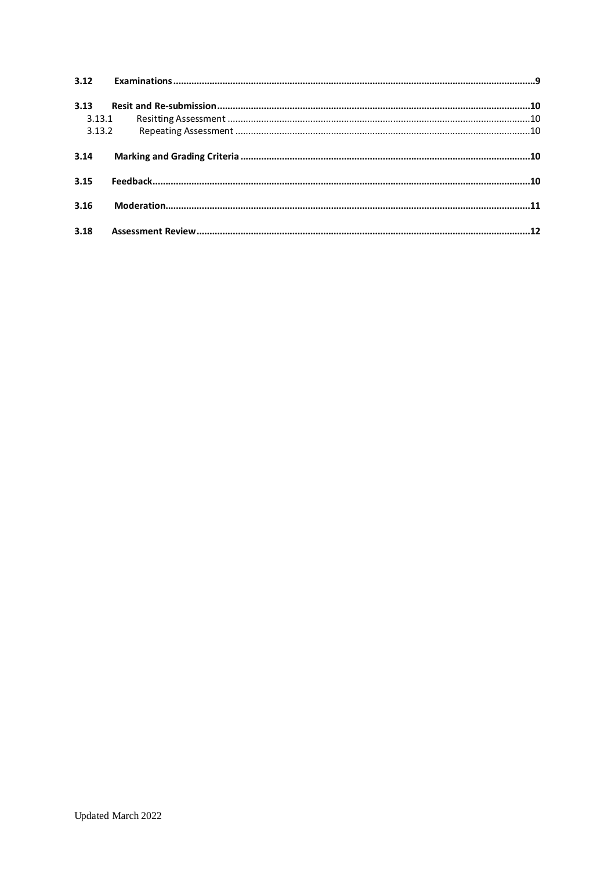| 3.12   |  |
|--------|--|
| 3.13   |  |
| 3.13.1 |  |
| 3.13.2 |  |
| 3.14   |  |
| 3.15   |  |
|        |  |
| 3.16   |  |
|        |  |
| 3.18   |  |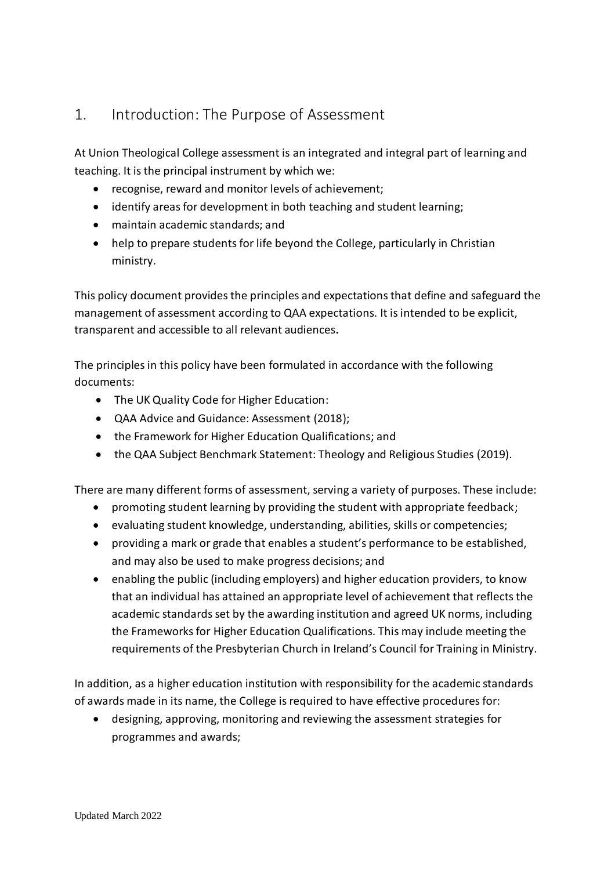# <span id="page-2-0"></span>1. Introduction: The Purpose of Assessment

At Union Theological College assessment is an integrated and integral part of learning and teaching. It is the principal instrument by which we:

- recognise, reward and monitor levels of achievement;
- identify areas for development in both teaching and student learning;
- maintain academic standards; and
- help to prepare students for life beyond the College, particularly in Christian ministry.

This policy document provides the principles and expectations that define and safeguard the management of assessment according to QAA expectations. It is intended to be explicit, transparent and accessible to all relevant audiences**.**

The principles in this policy have been formulated in accordance with the following documents:

- The UK Quality Code for Higher Education:
- QAA Advice and Guidance: Assessment (2018);
- the Framework for Higher Education Qualifications; and
- the QAA Subject Benchmark Statement: Theology and Religious Studies (2019).

There are many different forms of assessment, serving a variety of purposes. These include:

- promoting student learning by providing the student with appropriate feedback;
- evaluating student knowledge, understanding, abilities, skills or competencies;
- providing a mark or grade that enables a student's performance to be established, and may also be used to make progress decisions; and
- enabling the public (including employers) and higher education providers, to know that an individual has attained an appropriate level of achievement that reflects the academic standards set by the awarding institution and agreed UK norms, including the Frameworks for Higher Education Qualifications. This may include meeting the requirements of the Presbyterian Church in Ireland's Council for Training in Ministry.

In addition, as a higher education institution with responsibility for the academic standards of awards made in its name, the College is required to have effective procedures for:

• designing, approving, monitoring and reviewing the assessment strategies for programmes and awards;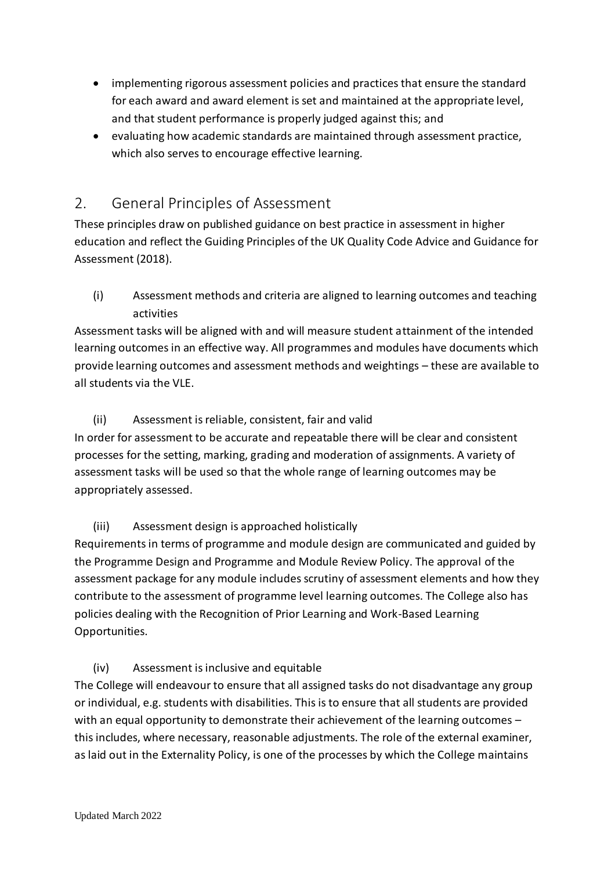- implementing rigorous assessment policies and practices that ensure the standard for each award and award element is set and maintained at the appropriate level, and that student performance is properly judged against this; and
- evaluating how academic standards are maintained through assessment practice, which also serves to encourage effective learning.

# <span id="page-3-0"></span>2. General Principles of Assessment

These principles draw on published guidance on best practice in assessment in higher education and reflect the Guiding Principles of the UK Quality Code Advice and Guidance for Assessment (2018).

<span id="page-3-1"></span>(i) Assessment methods and criteria are aligned to learning outcomes and teaching activities

Assessment tasks will be aligned with and will measure student attainment of the intended learning outcomes in an effective way. All programmes and modules have documents which provide learning outcomes and assessment methods and weightings – these are available to all students via the VLE.

# (ii) Assessment is reliable, consistent, fair and valid

<span id="page-3-2"></span>In order for assessment to be accurate and repeatable there will be clear and consistent processes for the setting, marking, grading and moderation of assignments. A variety of assessment tasks will be used so that the whole range of learning outcomes may be appropriately assessed.

# (iii) Assessment design is approached holistically

<span id="page-3-3"></span>Requirements in terms of programme and module design are communicated and guided by the Programme Design and Programme and Module Review Policy. The approval of the assessment package for any module includes scrutiny of assessment elements and how they contribute to the assessment of programme level learning outcomes. The College also has policies dealing with the Recognition of Prior Learning and Work-Based Learning Opportunities.

# <span id="page-3-4"></span>(iv) Assessment is inclusive and equitable

The College will endeavour to ensure that all assigned tasks do not disadvantage any group or individual, e.g. students with disabilities. This is to ensure that all students are provided with an equal opportunity to demonstrate their achievement of the learning outcomes this includes, where necessary, reasonable adjustments. The role of the external examiner, as laid out in the Externality Policy, is one of the processes by which the College maintains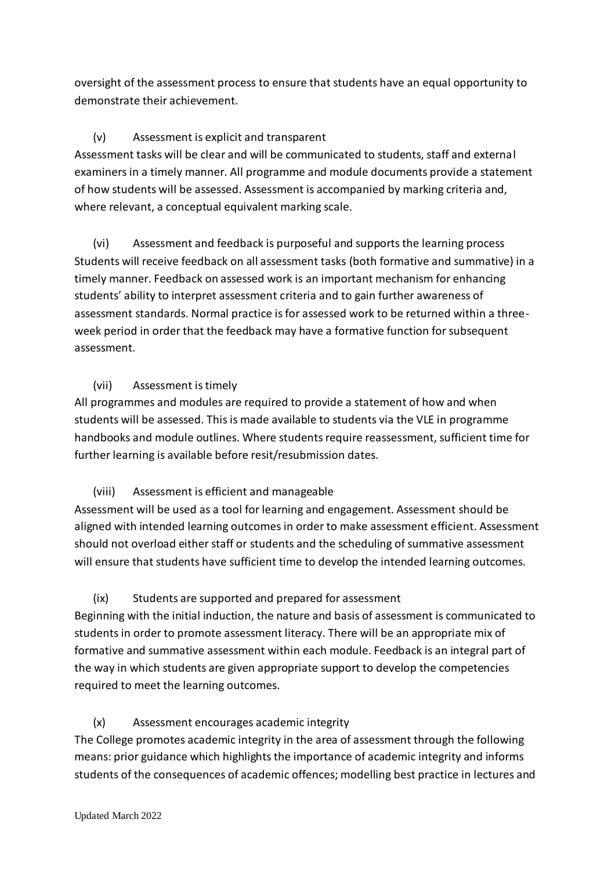oversight of the assessment process to ensure that students have an equal opportunity to demonstrate their achievement.

## (v) Assessment is explicit and transparent

<span id="page-4-0"></span>Assessment tasks will be clear and will be communicated to students, staff and external examiners in a timely manner. All programme and module documents provide a statement of how students will be assessed. Assessment is accompanied by marking criteria and, where relevant, a conceptual equivalent marking scale.

<span id="page-4-1"></span>(vi) Assessment and feedback is purposeful and supports the learning process Students will receive feedback on all assessment tasks (both formative and summative) in a timely manner. Feedback on assessed work is an important mechanism for enhancing students' ability to interpret assessment criteria and to gain further awareness of assessment standards. Normal practice is for assessed work to be returned within a threeweek period in order that the feedback may have a formative function for subsequent assessment.

## <span id="page-4-2"></span>(vii) Assessment is timely

All programmes and modules are required to provide a statement of how and when students will be assessed. This is made available to students via the VLE in programme handbooks and module outlines. Where students require reassessment, sufficient time for further learning is available before resit/resubmission dates.

# (viii) Assessment is efficient and manageable

<span id="page-4-3"></span>Assessment will be used as a tool for learning and engagement. Assessment should be aligned with intended learning outcomes in order to make assessment efficient. Assessment should not overload either staff or students and the scheduling of summative assessment will ensure that students have sufficient time to develop the intended learning outcomes.

## <span id="page-4-4"></span>(ix) Students are supported and prepared for assessment

Beginning with the initial induction, the nature and basis of assessment is communicated to students in order to promote assessment literacy. There will be an appropriate mix of formative and summative assessment within each module. Feedback is an integral part of the way in which students are given appropriate support to develop the competencies required to meet the learning outcomes.

# <span id="page-4-5"></span>(x) Assessment encourages academic integrity

The College promotes academic integrity in the area of assessment through the following means: prior guidance which highlights the importance of academic integrity and informs students of the consequences of academic offences; modelling best practice in lectures and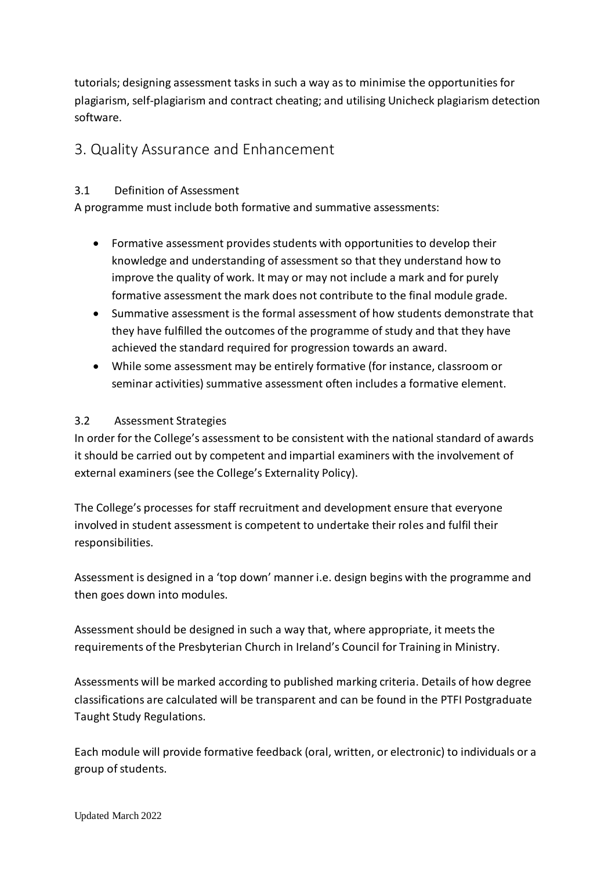tutorials; designing assessment tasks in such a way as to minimise the opportunities for plagiarism, self-plagiarism and contract cheating; and utilising Unicheck plagiarism detection software.

# <span id="page-5-0"></span>3. Quality Assurance and Enhancement

#### <span id="page-5-1"></span>3.1 Definition of Assessment

A programme must include both formative and summative assessments:

- Formative assessment provides students with opportunities to develop their knowledge and understanding of assessment so that they understand how to improve the quality of work. It may or may not include a mark and for purely formative assessment the mark does not contribute to the final module grade.
- Summative assessment is the formal assessment of how students demonstrate that they have fulfilled the outcomes of the programme of study and that they have achieved the standard required for progression towards an award.
- While some assessment may be entirely formative (for instance, classroom or seminar activities) summative assessment often includes a formative element.

#### <span id="page-5-2"></span>3.2 Assessment Strategies

In order for the College's assessment to be consistent with the national standard of awards it should be carried out by competent and impartial examiners with the involvement of external examiners (see the College's Externality Policy).

The College's processes for staff recruitment and development ensure that everyone involved in student assessment is competent to undertake their roles and fulfil their responsibilities.

Assessment is designed in a 'top down' manner i.e. design begins with the programme and then goes down into modules.

Assessment should be designed in such a way that, where appropriate, it meets the requirements of the Presbyterian Church in Ireland's Council for Training in Ministry.

Assessments will be marked according to published marking criteria. Details of how degree classifications are calculated will be transparent and can be found in the PTFI Postgraduate Taught Study Regulations.

Each module will provide formative feedback (oral, written, or electronic) to individuals or a group of students.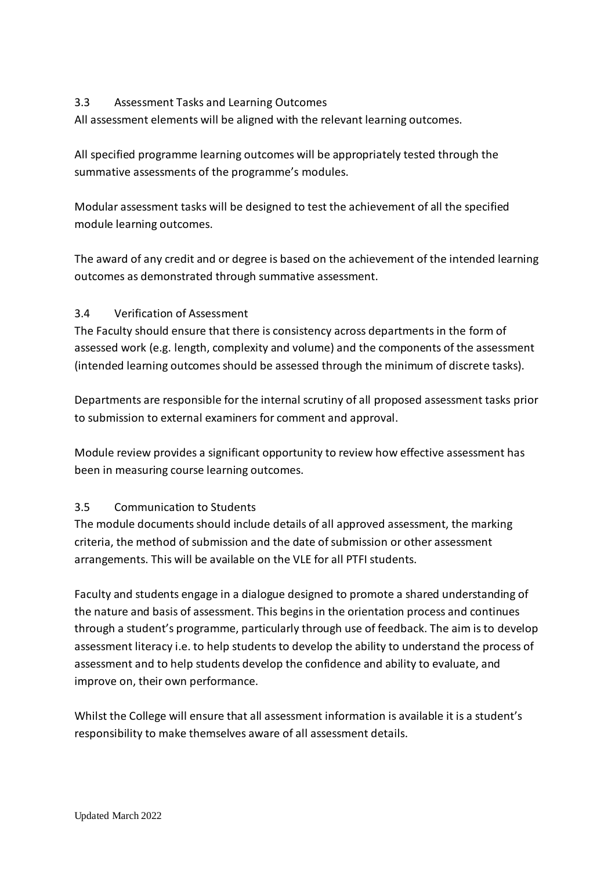#### <span id="page-6-0"></span>3.3 Assessment Tasks and Learning Outcomes

All assessment elements will be aligned with the relevant learning outcomes.

All specified programme learning outcomes will be appropriately tested through the summative assessments of the programme's modules.

Modular assessment tasks will be designed to test the achievement of all the specified module learning outcomes.

The award of any credit and or degree is based on the achievement of the intended learning outcomes as demonstrated through summative assessment.

#### <span id="page-6-1"></span>3.4 Verification of Assessment

The Faculty should ensure that there is consistency across departments in the form of assessed work (e.g. length, complexity and volume) and the components of the assessment (intended learning outcomes should be assessed through the minimum of discrete tasks).

Departments are responsible for the internal scrutiny of all proposed assessment tasks prior to submission to external examiners for comment and approval.

Module review provides a significant opportunity to review how effective assessment has been in measuring course learning outcomes.

#### <span id="page-6-2"></span>3.5 Communication to Students

The module documents should include details of all approved assessment, the marking criteria, the method of submission and the date of submission or other assessment arrangements. This will be available on the VLE for all PTFI students.

Faculty and students engage in a dialogue designed to promote a shared understanding of the nature and basis of assessment. This begins in the orientation process and continues through a student's programme, particularly through use of feedback. The aim is to develop assessment literacy i.e. to help students to develop the ability to understand the process of assessment and to help students develop the confidence and ability to evaluate, and improve on, their own performance.

Whilst the College will ensure that all assessment information is available it is a student's responsibility to make themselves aware of all assessment details.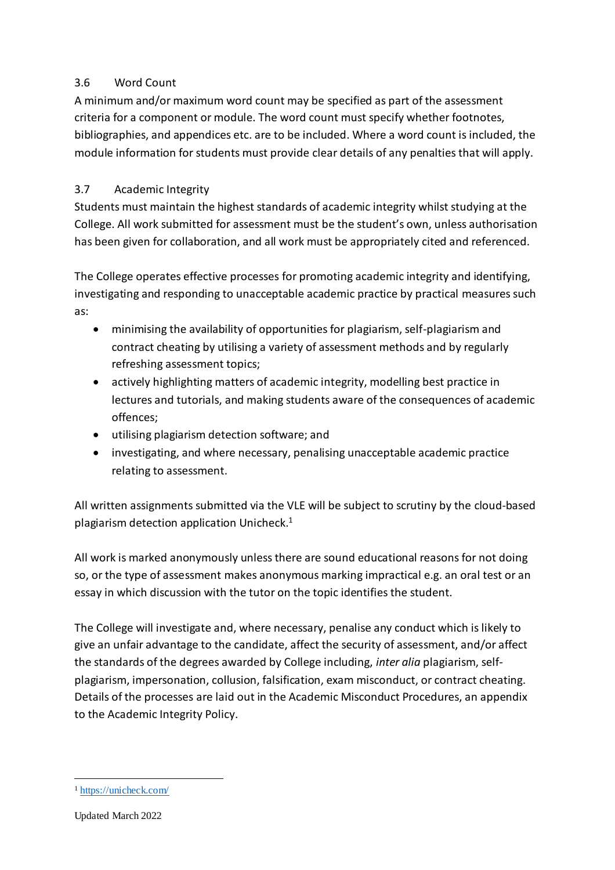#### <span id="page-7-0"></span>3.6 Word Count

A minimum and/or maximum word count may be specified as part of the assessment criteria for a component or module. The word count must specify whether footnotes, bibliographies, and appendices etc. are to be included. Where a word count is included, the module information for students must provide clear details of any penalties that will apply.

#### <span id="page-7-1"></span>3.7 Academic Integrity

Students must maintain the highest standards of academic integrity whilst studying at the College. All work submitted for assessment must be the student's own, unless authorisation has been given for collaboration, and all work must be appropriately cited and referenced.

The College operates effective processes for promoting academic integrity and identifying, investigating and responding to unacceptable academic practice by practical measures such as:

- minimising the availability of opportunities for plagiarism, self-plagiarism and contract cheating by utilising a variety of assessment methods and by regularly refreshing assessment topics;
- actively highlighting matters of academic integrity, modelling best practice in lectures and tutorials, and making students aware of the consequences of academic offences;
- utilising plagiarism detection software; and
- investigating, and where necessary, penalising unacceptable academic practice relating to assessment.

All written assignments submitted via the VLE will be subject to scrutiny by the cloud-based plagiarism detection application Unicheck. $1$ 

All work is marked anonymously unless there are sound educational reasons for not doing so, or the type of assessment makes anonymous marking impractical e.g. an oral test or an essay in which discussion with the tutor on the topic identifies the student.

The College will investigate and, where necessary, penalise any conduct which is likely to give an unfair advantage to the candidate, affect the security of assessment, and/or affect the standards of the degrees awarded by College including, *inter alia* plagiarism, selfplagiarism, impersonation, collusion, falsification, exam misconduct, or contract cheating. Details of the processes are laid out in the Academic Misconduct Procedures, an appendix to the Academic Integrity Policy.

 $\overline{a}$ 

<sup>1</sup> <https://unicheck.com/>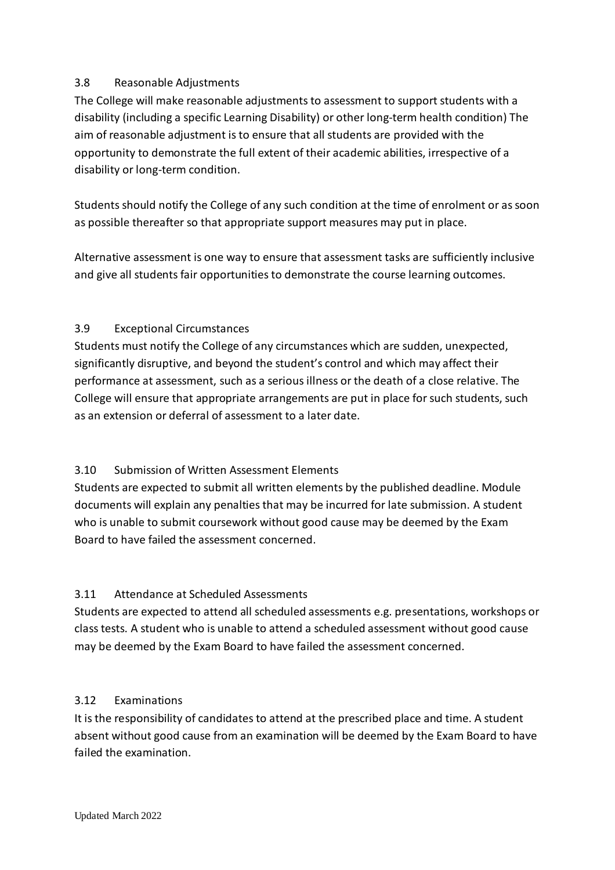#### <span id="page-8-0"></span>3.8 Reasonable Adjustments

The College will make reasonable adjustments to assessment to support students with a disability (including a specific Learning Disability) or other long-term health condition) The aim of reasonable adjustment is to ensure that all students are provided with the opportunity to demonstrate the full extent of their academic abilities, irrespective of a disability or long-term condition.

Students should notify the College of any such condition at the time of enrolment or as soon as possible thereafter so that appropriate support measures may put in place.

Alternative assessment is one way to ensure that assessment tasks are sufficiently inclusive and give all students fair opportunities to demonstrate the course learning outcomes.

#### <span id="page-8-1"></span>3.9 Exceptional Circumstances

Students must notify the College of any circumstances which are sudden, unexpected, significantly disruptive, and beyond the student's control and which may affect their performance at assessment, such as a serious illness or the death of a close relative. The College will ensure that appropriate arrangements are put in place for such students, such as an extension or deferral of assessment to a later date.

## <span id="page-8-2"></span>3.10 Submission of Written Assessment Elements

Students are expected to submit all written elements by the published deadline. Module documents will explain any penalties that may be incurred for late submission. A student who is unable to submit coursework without good cause may be deemed by the Exam Board to have failed the assessment concerned.

## <span id="page-8-3"></span>3.11 Attendance at Scheduled Assessments

Students are expected to attend all scheduled assessments e.g. presentations, workshops or class tests. A student who is unable to attend a scheduled assessment without good cause may be deemed by the Exam Board to have failed the assessment concerned.

#### <span id="page-8-4"></span>3.12 Examinations

It is the responsibility of candidates to attend at the prescribed place and time. A student absent without good cause from an examination will be deemed by the Exam Board to have failed the examination.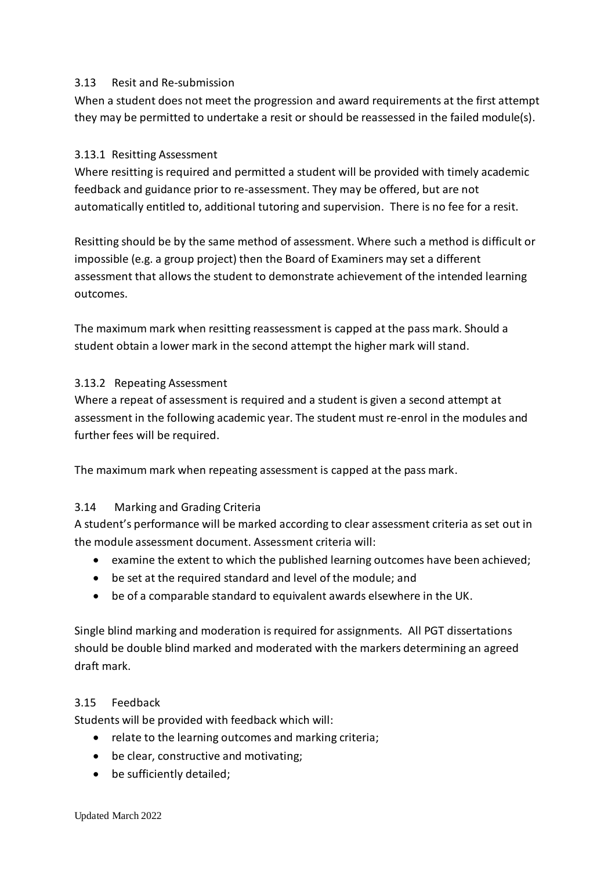#### <span id="page-9-0"></span>3.13 Resit and Re-submission

When a student does not meet the progression and award requirements at the first attempt they may be permitted to undertake a resit or should be reassessed in the failed module(s).

#### <span id="page-9-1"></span>3.13.1 Resitting Assessment

Where resitting is required and permitted a student will be provided with timely academic feedback and guidance prior to re-assessment. They may be offered, but are not automatically entitled to, additional tutoring and supervision. There is no fee for a resit.

Resitting should be by the same method of assessment. Where such a method is difficult or impossible (e.g. a group project) then the Board of Examiners may set a different assessment that allows the student to demonstrate achievement of the intended learning outcomes.

The maximum mark when resitting reassessment is capped at the pass mark. Should a student obtain a lower mark in the second attempt the higher mark will stand.

#### <span id="page-9-2"></span>3.13.2 Repeating Assessment

Where a repeat of assessment is required and a student is given a second attempt at assessment in the following academic year. The student must re-enrol in the modules and further fees will be required.

The maximum mark when repeating assessment is capped at the pass mark.

#### <span id="page-9-3"></span>3.14 Marking and Grading Criteria

A student's performance will be marked according to clear assessment criteria as set out in the module assessment document. Assessment criteria will:

- examine the extent to which the published learning outcomes have been achieved;
- be set at the required standard and level of the module; and
- be of a comparable standard to equivalent awards elsewhere in the UK.

Single blind marking and moderation is required for assignments. All PGT dissertations should be double blind marked and moderated with the markers determining an agreed draft mark.

#### <span id="page-9-4"></span>3.15 Feedback

Students will be provided with feedback which will:

- relate to the learning outcomes and marking criteria;
- be clear, constructive and motivating;
- be sufficiently detailed;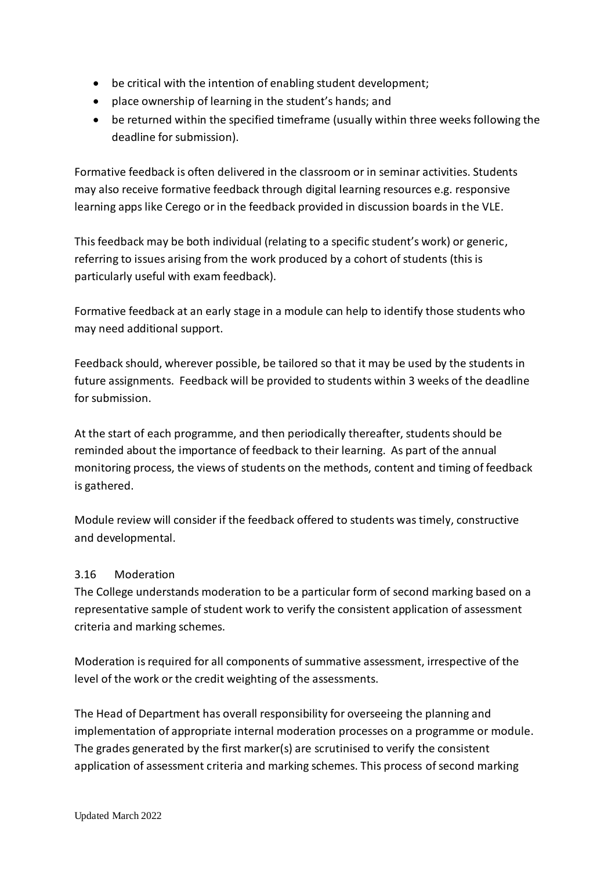- be critical with the intention of enabling student development;
- place ownership of learning in the student's hands; and
- be returned within the specified timeframe (usually within three weeks following the deadline for submission).

Formative feedback is often delivered in the classroom or in seminar activities. Students may also receive formative feedback through digital learning resources e.g. responsive learning apps like Cerego or in the feedback provided in discussion boards in the VLE.

This feedback may be both individual (relating to a specific student's work) or generic, referring to issues arising from the work produced by a cohort of students (this is particularly useful with exam feedback).

Formative feedback at an early stage in a module can help to identify those students who may need additional support.

Feedback should, wherever possible, be tailored so that it may be used by the students in future assignments. Feedback will be provided to students within 3 weeks of the deadline for submission.

At the start of each programme, and then periodically thereafter, students should be reminded about the importance of feedback to their learning. As part of the annual monitoring process, the views of students on the methods, content and timing of feedback is gathered.

Module review will consider if the feedback offered to students was timely, constructive and developmental.

#### <span id="page-10-0"></span>3.16 Moderation

The College understands moderation to be a particular form of second marking based on a representative sample of student work to verify the consistent application of assessment criteria and marking schemes.

Moderation is required for all components of summative assessment, irrespective of the level of the work or the credit weighting of the assessments.

The Head of Department has overall responsibility for overseeing the planning and implementation of appropriate internal moderation processes on a programme or module. The grades generated by the first marker(s) are scrutinised to verify the consistent application of assessment criteria and marking schemes. This process of second marking